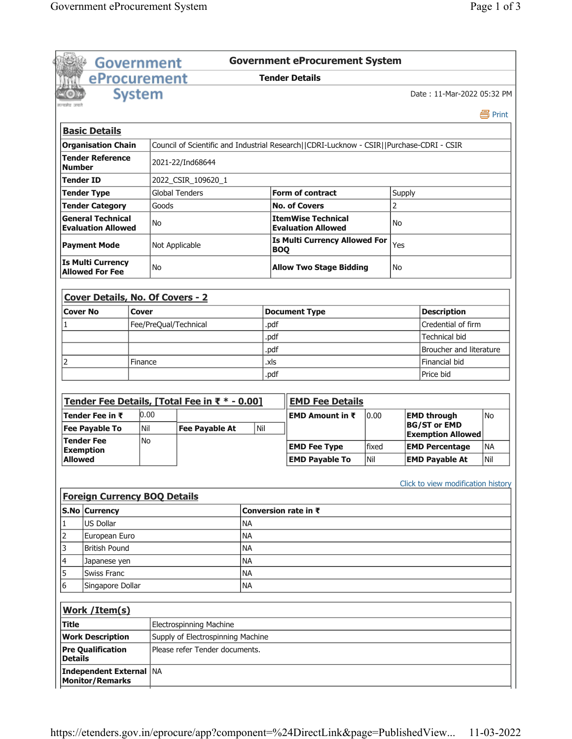|                                       | <b>Government eProcurement System</b><br>Government   |           |                       |                                               |           |                      |                                                                                          |               |                         |                                    |           |
|---------------------------------------|-------------------------------------------------------|-----------|-----------------------|-----------------------------------------------|-----------|----------------------|------------------------------------------------------------------------------------------|---------------|-------------------------|------------------------------------|-----------|
| eProcurement<br><b>Tender Details</b> |                                                       |           |                       |                                               |           |                      |                                                                                          |               |                         |                                    |           |
|                                       | <b>System</b>                                         |           |                       |                                               |           |                      |                                                                                          |               |                         | Date: 11-Mar-2022 05:32 PM         |           |
|                                       |                                                       |           |                       |                                               |           |                      |                                                                                          |               |                         |                                    | 昌 Print   |
|                                       | <b>Basic Details</b>                                  |           |                       |                                               |           |                      |                                                                                          |               |                         |                                    |           |
|                                       | <b>Organisation Chain</b>                             |           |                       |                                               |           |                      | Council of Scientific and Industrial Research  CDRI-Lucknow - CSIR  Purchase-CDRI - CSIR |               |                         |                                    |           |
| <b>Number</b>                         | <b>Tender Reference</b>                               |           |                       | 2021-22/Ind68644                              |           |                      |                                                                                          |               |                         |                                    |           |
|                                       | Tender ID                                             |           |                       | 2022_CSIR_109620_1                            |           |                      |                                                                                          |               |                         |                                    |           |
|                                       | <b>Tender Type</b>                                    |           | <b>Global Tenders</b> |                                               |           |                      | <b>Form of contract</b>                                                                  |               | Supply                  |                                    |           |
|                                       | <b>Tender Category</b>                                |           | Goods                 |                                               |           |                      | <b>No. of Covers</b>                                                                     |               | 2                       |                                    |           |
|                                       | <b>General Technical</b><br><b>Evaluation Allowed</b> |           | No                    |                                               |           |                      | <b>ItemWise Technical</b><br><b>Evaluation Allowed</b>                                   |               | No                      |                                    |           |
|                                       | <b>Payment Mode</b>                                   |           | Not Applicable        |                                               |           | <b>BOQ</b>           | <b>Is Multi Currency Allowed For</b>                                                     |               | Yes                     |                                    |           |
|                                       | <b>Is Multi Currency</b><br><b>Allowed For Fee</b>    |           | <b>No</b>             |                                               |           |                      | <b>Allow Two Stage Bidding</b>                                                           |               | No                      |                                    |           |
|                                       | <b>Cover Details, No. Of Covers - 2</b>               |           |                       |                                               |           |                      |                                                                                          |               |                         |                                    |           |
|                                       | <b>Cover No</b>                                       | Cover     |                       |                                               |           |                      | <b>Document Type</b>                                                                     |               |                         | <b>Description</b>                 |           |
| 1                                     |                                                       |           |                       | Fee/PreQual/Technical                         |           | .pdf                 |                                                                                          |               |                         | Credential of firm                 |           |
|                                       |                                                       |           |                       |                                               |           | .pdf                 |                                                                                          |               |                         | Technical bid                      |           |
|                                       |                                                       |           |                       |                                               |           | .pdf                 |                                                                                          |               | Broucher and literature |                                    |           |
| 2                                     |                                                       | Finance   |                       |                                               | .xls      |                      |                                                                                          | Financial bid |                         |                                    |           |
|                                       |                                                       |           |                       |                                               | .pdf      |                      |                                                                                          | Price bid     |                         |                                    |           |
|                                       |                                                       |           |                       |                                               |           |                      |                                                                                          |               |                         |                                    |           |
|                                       |                                                       |           |                       | Tender Fee Details, [Total Fee in ₹ * - 0.00] |           |                      | <b>EMD Fee Details</b>                                                                   |               |                         |                                    |           |
|                                       | Tender Fee in ₹                                       | 0.00      |                       |                                               |           |                      | EMD Amount in $\bar{x}$                                                                  | 0.00          |                         | <b>EMD through</b>                 | No        |
|                                       | <b>Fee Payable To</b>                                 | Nil       |                       | <b>Fee Payable At</b>                         | Nil       |                      |                                                                                          |               |                         | <b>BG/ST or EMD</b>                |           |
|                                       | <b>Tender Fee</b>                                     | <b>No</b> |                       |                                               |           |                      |                                                                                          |               |                         | <b>Exemption Allowed</b>           |           |
|                                       | <b>Exemption</b>                                      |           |                       |                                               |           |                      | <b>EMD Fee Type</b>                                                                      | fixed         |                         | <b>EMD Percentage</b>              | <b>NA</b> |
| <b>Allowed</b>                        |                                                       |           |                       |                                               |           |                      | <b>EMD Payable To</b>                                                                    | Nil           |                         | <b>EMD Payable At</b>              | Nil       |
|                                       | <b>Foreign Currency BOQ Details</b>                   |           |                       |                                               |           |                      |                                                                                          |               |                         | Click to view modification history |           |
|                                       | S.No Currency                                         |           |                       |                                               |           | Conversion rate in ₹ |                                                                                          |               |                         |                                    |           |
| 1                                     | <b>US Dollar</b>                                      |           |                       |                                               | <b>NA</b> |                      |                                                                                          |               |                         |                                    |           |
| 2                                     | European Euro                                         |           |                       |                                               |           | <b>NA</b>            |                                                                                          |               |                         |                                    |           |
| 3                                     | <b>British Pound</b>                                  |           |                       |                                               | <b>NA</b> |                      |                                                                                          |               |                         |                                    |           |
| 4                                     | Japanese yen                                          |           |                       |                                               | <b>NA</b> |                      |                                                                                          |               |                         |                                    |           |
| 5                                     | <b>Swiss Franc</b>                                    |           |                       |                                               | <b>NA</b> |                      |                                                                                          |               |                         |                                    |           |
| 6                                     | Singapore Dollar                                      |           |                       |                                               | <b>NA</b> |                      |                                                                                          |               |                         |                                    |           |
|                                       | <b>Work /Item(s)</b>                                  |           |                       |                                               |           |                      |                                                                                          |               |                         |                                    |           |
| Title                                 |                                                       |           |                       | <b>Electrospinning Machine</b>                |           |                      |                                                                                          |               |                         |                                    |           |
|                                       | <b>Work Description</b>                               |           |                       | Supply of Electrospinning Machine             |           |                      |                                                                                          |               |                         |                                    |           |
| <b>Details</b>                        | <b>Pre Qualification</b>                              |           |                       | Please refer Tender documents.                |           |                      |                                                                                          |               |                         |                                    |           |
|                                       |                                                       |           |                       |                                               |           |                      |                                                                                          |               |                         |                                    |           |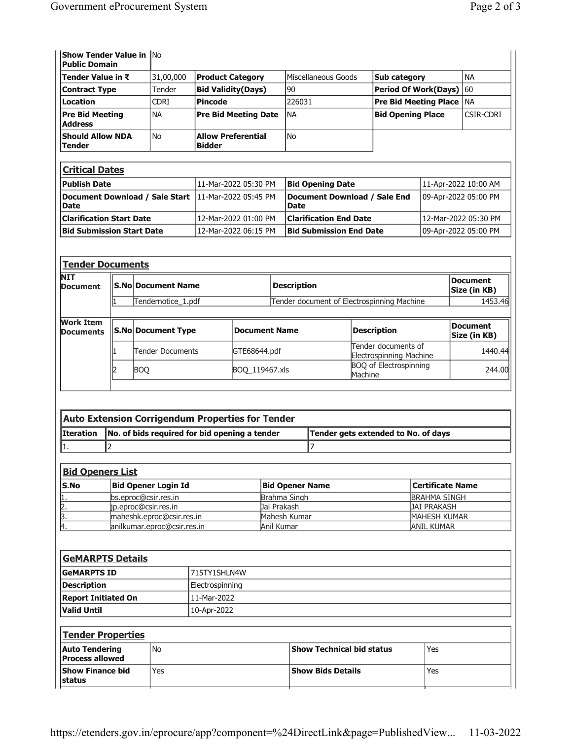| <b>Show Tender Value in No</b><br><b>Public Domain</b> |             |                                            |                     |                                |           |
|--------------------------------------------------------|-------------|--------------------------------------------|---------------------|--------------------------------|-----------|
| <b>Tender Value in ₹</b>                               | 31,00,000   | <b>Product Category</b>                    | Miscellaneous Goods | Sub category                   | <b>NA</b> |
| <b>Contract Type</b>                                   | Tender      | <b>Bid Validity(Days)</b>                  | 90                  | <b>Period Of Work(Days)</b> 60 |           |
| Location                                               | <b>CDRI</b> | <b>Pincode</b>                             | 226031              | <b>Pre Bid Meeting Place</b>   | l NA      |
| <b>Pre Bid Meeting</b><br><b>Address</b>               | <b>NA</b>   | <b>Pre Bid Meeting Date</b>                | <b>NA</b>           | <b>Bid Opening Place</b>       | CSIR-CDRI |
| <b>Should Allow NDA</b><br><b>Tender</b>               | l No        | <b>Allow Preferential</b><br><b>Bidder</b> | <b>No</b>           |                                |           |

| Critical Dates                                               |                       |                                        |                        |  |  |  |
|--------------------------------------------------------------|-----------------------|----------------------------------------|------------------------|--|--|--|
| <b>Publish Date</b>                                          | 111-Mar-2022 05:30 PM | <b>Bid Opening Date</b>                | 11-Apr-2022 10:00 AM   |  |  |  |
| Document Download / Sale Start  11-Mar-2022 05:45 PM<br>Date |                       | Document Download / Sale End<br>  Date | 09-Apr-2022 05:00 PM   |  |  |  |
| <b>Clarification Start Date</b>                              | 12-Mar-2022 01:00 PM  | <b>Clarification End Date</b>          | l 12-Mar-2022 05:30 PM |  |  |  |
| <b>Bid Submission Start Date</b>                             | 12-Mar-2022 06:15 PM  | <b>Bid Submission End Date</b>         | 109-Apr-2022 05:00 PM  |  |  |  |

| <b>Tender Documents</b>              |                           |                           |                |                    |                                                |                          |
|--------------------------------------|---------------------------|---------------------------|----------------|--------------------|------------------------------------------------|--------------------------|
| <b>NIT</b><br><b>Document</b>        | <b>S.No Document Name</b> |                           |                | <b>Description</b> | <b>Document</b><br>Size (in KB)                |                          |
|                                      |                           | Tendernotice_1.pdf        |                |                    | Tender document of Electrospinning Machine     | 1453.46                  |
|                                      |                           |                           |                |                    |                                                |                          |
| <b>Work Item</b><br><b>Documents</b> |                           | <b>S.No Document Type</b> | Document Name  |                    | <b>Description</b>                             | Document<br>Size (in KB) |
|                                      |                           | <b>Tender Documents</b>   | GTE68644.pdf   |                    | Tender documents of<br>Electrospinning Machine | 1440.44                  |
|                                      |                           | <b>BOO</b>                | BOO 119467.xls |                    | <b>BOO</b> of Electrospinning<br>Machine       | 244.00                   |

| <b>Auto Extension Corrigendum Properties for Tender</b> |                                                           |                                     |  |  |  |  |  |
|---------------------------------------------------------|-----------------------------------------------------------|-------------------------------------|--|--|--|--|--|
|                                                         | Iteration   No. of bids required for bid opening a tender | Tender gets extended to No. of days |  |  |  |  |  |
|                                                         |                                                           |                                     |  |  |  |  |  |

| <b>Bid Openers List</b> |                              |                        |                     |  |  |  |
|-------------------------|------------------------------|------------------------|---------------------|--|--|--|
| <b>S.No</b>             | Bid Opener Login Id          | <b>Bid Opener Name</b> | Certificate Name    |  |  |  |
|                         | bs.eproc@csir.res.in         | Brahma Singh           | <b>BRAHMA SINGH</b> |  |  |  |
| 2.                      | ip.eproc@csir.res.in         | Jai Prakash            | <b>JAI PRAKASH</b>  |  |  |  |
| Β.                      | maheshk.eproc@csir.res.in    | Mahesh Kumar           | <b>MAHESH KUMAR</b> |  |  |  |
| 14.                     | lanilkumar.eproc@csir.res.in | Anil Kumar             | <b>ANIL KUMAR</b>   |  |  |  |

| <b>GeMARPTS Details</b>                         |                 |              |                                  |     |  |
|-------------------------------------------------|-----------------|--------------|----------------------------------|-----|--|
| <b>GeMARPTS ID</b>                              |                 | 715TY1SHLN4W |                                  |     |  |
| <b>Description</b>                              | Electrospinning |              |                                  |     |  |
| <b>Report Initiated On</b>                      |                 | 11-Mar-2022  |                                  |     |  |
| <b>Valid Until</b>                              |                 | 10-Apr-2022  |                                  |     |  |
| <b>Tender Properties</b>                        |                 |              |                                  |     |  |
| <b>Auto Tendering</b><br><b>Process allowed</b> | N <sub>o</sub>  |              | <b>Show Technical bid status</b> | Yes |  |
| <b>Show Finance bid</b><br><b>status</b>        | Yes             |              | <b>Show Bids Details</b>         | Yes |  |